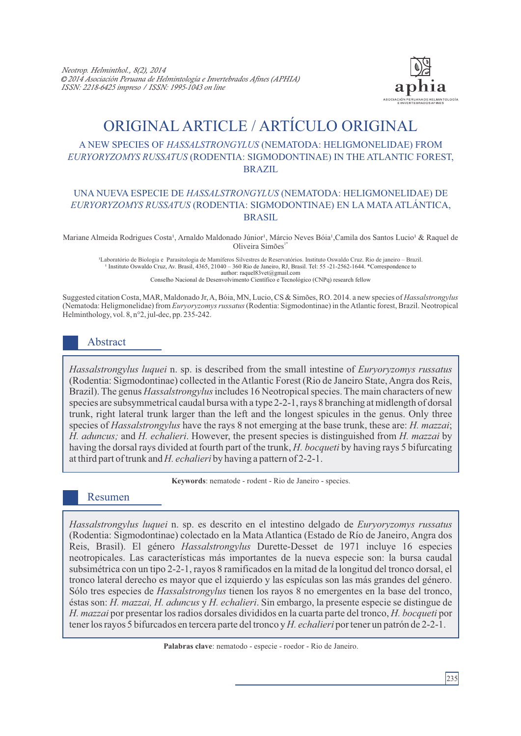

# ORIGINAL ARTICLE / ARTÍCULO ORIGINAL

## A NEW SPECIES OF *HASSALSTRONGYLUS* (NEMATODA: HELIGMONELIDAE) FROM *EURYORYZOMYS RUSSATUS* (RODENTIA: SIGMODONTINAE) IN THE ATLANTIC FOREST, BRAZIL

## UNA NUEVA ESPECIE DE *HASSALSTRONGYLUS* (NEMATODA: HELIGMONELIDAE) DE *EURYORYZOMYS RUSSATUS* (RODENTIA: SIGMODONTINAE) EN LA MATAATLÁNTICA, BRASIL

Mariane Almeida Rodrigues Costa<sup>1</sup>, Arnaldo Maldonado Júnior<sup>1</sup>, Márcio Neves Bóia<sup>1</sup>, Camila dos Santos Lucio<sup>1</sup> & Raquel de Oliveira Simões<sup>1</sup>

¹Laboratório de Biologia e Parasitologia de Mamíferos Silvestres de Reservatórios. Instituto Oswaldo Cruz. Rio de janeiro – Brazil. <sup>1</sup> Instituto Oswaldo Cruz, Av. Brasil, 4365, 21040 – 360 Rio de Janeiro, RJ, Brasil. Tel: 55 -21-2562-1644. \*Correspondence to author: raquel83vet@gmail.com Conselho Nacional de Desenvolvimento Científico e Tecnológico (CNPq) research fellow

Suggested citation Costa, MAR, Maldonado Jr, A, Bóia, MN, Lucio, CS & Simões, RO. 2014. a new species of *Hassalstrongylus* (Nematoda: Heligmonelidae) from *Euryoryzomys russatus* (Rodentia: Sigmodontinae) in the Atlantic forest, Brazil. Neotropical Helminthology, vol. 8, n°2, jul-dec, pp. 235-242.

# Abstract

*Hassalstrongylus luquei* n. sp. is described from the small intestine of *Euryoryzomys russatus*  (Rodentia: Sigmodontinae) collected in the Atlantic Forest (Rio de Janeiro State, Angra dos Reis, Brazil). The genus *Hassalstrongylus*includes 16 Neotropical species. The main characters of new species are subsymmetrical caudal bursa with a type 2-2-1, rays 8 branching at midlength of dorsal trunk, right lateral trunk larger than the left and the longest spicules in the genus. Only three species of *Hassalstrongylus* have the rays 8 not emerging at the base trunk, these are: *H. mazzai*; *H. aduncus;* and *H. echalieri*. However, the present species is distinguished from *H. mazzai* by having the dorsal rays divided at fourth part of the trunk, *H. bocqueti* by having rays 5 bifurcating at third part of trunk and *H. echalieri* by having a pattern of 2-2-1.

**Keywords**: nematode - rodent - Rio de Janeiro - species.

## Resumen

*Hassalstrongylus luquei* n. sp. es descrito en el intestino delgado de *Euryoryzomys russatus* (Rodentia: Sigmodontinae) colectado en la Mata Atlantica (Estado de Río de Janeiro, Angra dos Reis, Brasil). El género *Hassalstrongylus* Durette-Desset de 1971 incluye 16 especies neotropicales. Las características más importantes de la nueva especie son: la bursa caudal subsimétrica con un tipo 2-2-1, rayos 8 ramificados en la mitad de la longitud del tronco dorsal, el tronco lateral derecho es mayor que el izquierdo y las espículas son las más grandes del género. Sólo tres especies de *Hassalstrongylus* tienen los rayos 8 no emergentes en la base del tronco, éstas son: *H. mazzai, H. aduncus* y *H. echalieri*. Sin embargo, la presente especie se distingue de *H. mazzai* por presentar los radios dorsales divididos en la cuarta parte del tronco, *H. bocqueti* por tener los rayos 5 bifurcados en tercera parte del tronco y *H. echalieri* por tener un patrón de 2-2-1.

**Palabras clave**: nematodo - especie - roedor - Rio de Janeiro.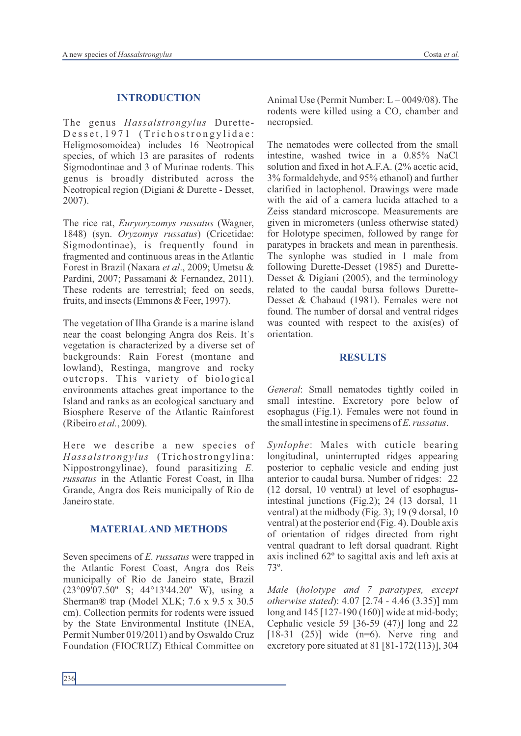#### **INTRODUCTION**

The genus *Hassalstrongylus* Durette-Desset, 1971 (Trichostrongylidae: Heligmosomoidea) includes 16 Neotropical species, of which 13 are parasites of rodents Sigmodontinae and 3 of Murinae rodents. This genus is broadly distributed across the Neotropical region (Digiani & Durette - Desset, 2007).

The rice rat, *Euryoryzomys russatus* (Wagner, 1848) (syn. *Oryzomys russatus*) (Cricetidae: Sigmodontinae), is frequently found in fragmented and continuous areas in the Atlantic Forest in Brazil (Naxara *et al*., 2009; Umetsu & Pardini, 2007; Passamani & Fernandez, 2011). These rodents are terrestrial; feed on seeds, fruits, and insects (Emmons & Feer, 1997).

The vegetation of Ilha Grande is a marine island near the coast belonging Angra dos Reis. It`s vegetation is characterized by a diverse set of backgrounds: Rain Forest (montane and lowland), Restinga, mangrove and rocky outcrops. This variety of biological environments attaches great importance to the Island and ranks as an ecological sanctuary and Biosphere Reserve of the Atlantic Rainforest (Ribeiro *et al.*, 2009).

Here we describe a new species of *Hassalstrongylus* (Trichostrongylina: Nippostrongylinae), found parasitizing *E. russatus* in the Atlantic Forest Coast, in Ilha Grande, Angra dos Reis municipally of Rio de Janeiro state.

#### **MATERIALAND METHODS**

Seven specimens of *E. russatus* were trapped in the Atlantic Forest Coast, Angra dos Reis municipally of Rio de Janeiro state, Brazil (23°09'07.50'' S; 44°13'44.20'' W), using a Sherman® trap (Model XLK; 7.6 x 9.5 x 30.5 cm). Collection permits for rodents were issued by the State Environmental Institute (INEA, Permit Number 019/2011) and by Oswaldo Cruz Foundation (FIOCRUZ) Ethical Committee on

Animal Use (Permit Number:  $L - 0049/08$ ). The rodents were killed using a CO<sub>2</sub> chamber and necropsied.

The nematodes were collected from the small intestine, washed twice in a 0.85% NaCl solution and fixed in hot A.F.A. (2% acetic acid, 3% formaldehyde, and 95% ethanol) and further clarified in lactophenol. Drawings were made with the aid of a camera lucida attached to a Zeiss standard microscope. Measurements are given in micrometers (unless otherwise stated) for Holotype specimen, followed by range for paratypes in brackets and mean in parenthesis. The synlophe was studied in 1 male from following Durette-Desset (1985) and Durette-Desset  $\&$  Digiani (2005), and the terminology related to the caudal bursa follows Durette-Desset & Chabaud (1981). Females were not found. The number of dorsal and ventral ridges was counted with respect to the axis(es) of orientation.

#### **RESULTS**

*General*: Small nematodes tightly coiled in small intestine. Excretory pore below of esophagus (Fig.1). Females were not found in the small intestine in specimens of *E. russatus*.

*Synlophe*: Males with cuticle bearing longitudinal, uninterrupted ridges appearing posterior to cephalic vesicle and ending just anterior to caudal bursa. Number of ridges: 22 (12 dorsal, 10 ventral) at level of esophagusintestinal junctions (Fig.2); 24 (13 dorsal, 11 ventral) at the midbody (Fig. 3); 19 (9 dorsal, 10 ventral) at the posterior end (Fig. 4). Double axis of orientation of ridges directed from right ventral quadrant to left dorsal quadrant. Right axis inclined 62º to sagittal axis and left axis at 73º.

*Male* (*holotype and 7 paratypes, except otherwise stated*): 4.07 [2.74 - 4.46 (3.35)] mm long and 145 [127-190 (160)] wide at mid-body; Cephalic vesicle 59 [36-59 (47)] long and 22  $[18-31 (25)]$  wide  $(n=6)$ . Nerve ring and excretory pore situated at 81 [81-172(113)], 304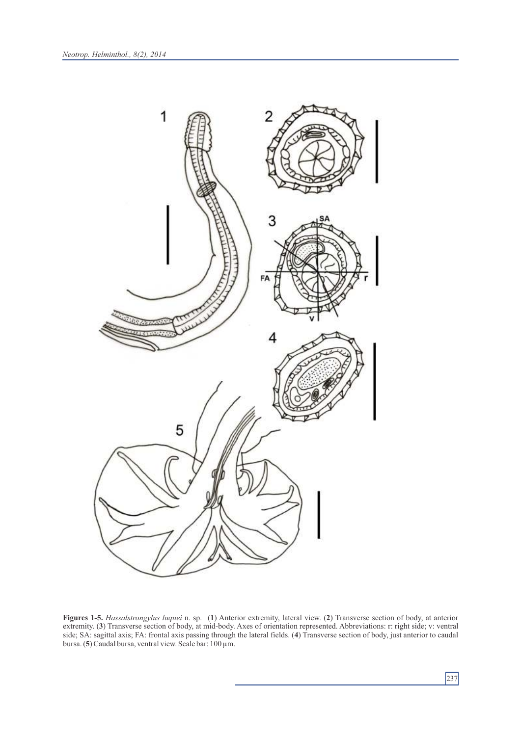

**Figures 1-5.** *Hassalstrongylus luquei* n. sp. (**1**) Anterior extremity, lateral view. (**2**) Transverse section of body, at anterior extremity. (**3**) Transverse section of body, at mid-body. Axes of orientation represented. Abbreviations: r: right side; v: ventral side; SA: sagittal axis; FA: frontal axis passing through the lateral fields. (**4**) Transverse section of body, just anterior to caudal bursa.(**5**) Caudal bursa, ventral view. Scale bar: 100 µm.

237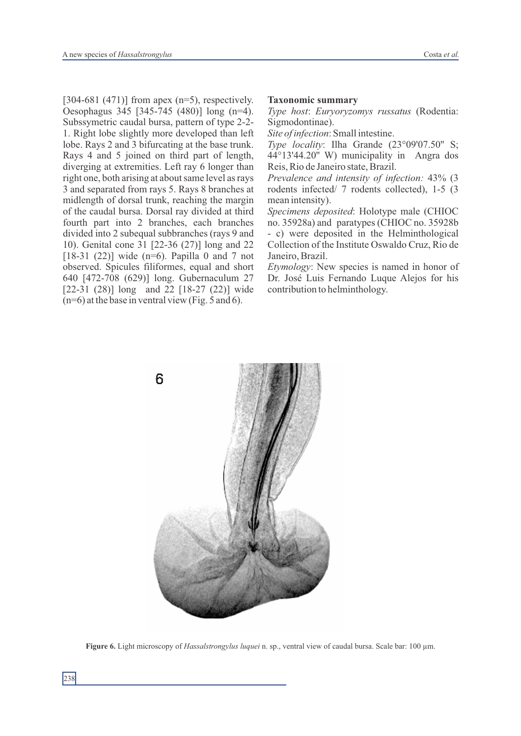[304-681 (471)] from apex (n=5), respectively. Oesophagus 345 [345-745 (480)] long (n=4). Subssymetric caudal bursa, pattern of type 2-2- 1. Right lobe slightly more developed than left lobe. Rays 2 and 3 bifurcating at the base trunk. Rays 4 and 5 joined on third part of length, diverging at extremities. Left ray 6 longer than right one, both arising at about same level as rays 3 and separated from rays 5. Rays 8 branches at midlength of dorsal trunk, reaching the margin of the caudal bursa. Dorsal ray divided at third fourth part into 2 branches, each branches divided into 2 subequal subbranches (rays 9 and 10). Genital cone 31 [22-36 (27)] long and 22 [18-31 (22)] wide (n=6). Papilla 0 and 7 not observed. Spicules filiformes, equal and short 640 [472-708 (629)] long. Gubernaculum 27 [22-31 (28)] long and 22 [18-27 (22)] wide (n=6) at the base in ventral view (Fig. 5 and 6).

#### **Taxonomic summary**

*Type host*: *Euryoryzomys russatus* (Rodentia: Sigmodontinae).

*Site of infection*: Small intestine.

*Type locality*: Ilha Grande (23°09'07.50'' S; 44°13'44.20'' W) municipality in Angra dos Reis, Rio de Janeiro state, Brazil.

*Prevalence and intensity of infection:* 43% (3 rodents infected/ 7 rodents collected), 1-5 (3 mean intensity).

*Specimens deposited*: Holotype male (CHIOC no. 35928a) and paratypes (CHIOC no. 35928b - c) were deposited in the Helminthological Collection of the Institute Oswaldo Cruz, Rio de Janeiro, Brazil.

*Etymology*: New species is named in honor of Dr. José Luis Fernando Luque Alejos for his contribution to helminthology.



**Figure 6.** Light microscopy of *Hassalstrongylus luquei* n. sp., ventral view of caudal bursa. Scale bar: 100 µm.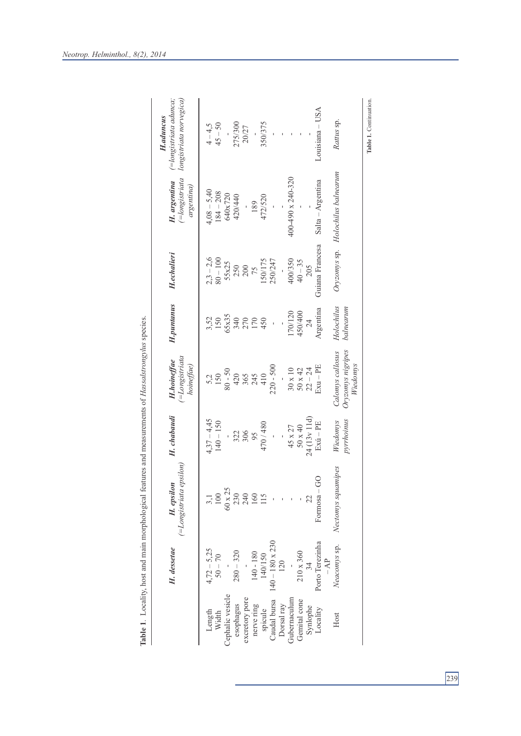|                  | H. dessetae              | $(=\text{Longistritical epsilon})$<br>H. epsilon | H. chabaudi                  | $($ =Longistriata<br>H.hoineffae<br>hoineffae)    | H.puntanus              | <b>H.echalieri</b>      | (=longistriata<br>H. argentina<br>argentina) | (=longistriata adunca;<br>longistriata norvegica)<br><b>H.aduncus</b> |
|------------------|--------------------------|--------------------------------------------------|------------------------------|---------------------------------------------------|-------------------------|-------------------------|----------------------------------------------|-----------------------------------------------------------------------|
| Width<br>Length  | $4,72-5,25$<br>$50 - 70$ | 3,1                                              | $4,37 - 4,45$<br>$140 - 150$ | 5,2<br>150                                        | 3,52<br>150             | $2,3 - 2,6$<br>80 - 100 | $4,08 - 5,40$<br>$184 - 208$                 | $45 - 50$<br>$4 - 4,5$                                                |
| Cephalic vesicle |                          | $\frac{100}{60 \times 25}$                       |                              | $0 - 50$                                          | 65x35                   | 55x25                   | 640x720                                      |                                                                       |
| esophagus        | $280 - 320$              | 230                                              |                              | 420                                               | 340<br>270              |                         | 420/440                                      | 275/300                                                               |
| excretory pore   |                          |                                                  | 322<br>306                   |                                                   |                         | 250<br>200<br>75        |                                              | 20/27                                                                 |
| nerve ring       | 140 - 180                | 240<br>160                                       | 95                           | 365<br>245                                        | 170                     |                         | 189                                          |                                                                       |
| spicule          | 140/150                  | 15                                               | 470/480                      | 410                                               | 450                     | 150/175                 | 472/520                                      | 350/375                                                               |
| Caudal bursa     | $140 - 180 \times 230$   |                                                  |                              | $220 - 500$                                       |                         | 250/247                 |                                              |                                                                       |
| Dorsal ray       | 120                      |                                                  |                              |                                                   |                         |                         |                                              |                                                                       |
| Gubernaculum     |                          |                                                  | 45 x 27                      | $30 \times 10$                                    | 170/120                 | 400/350                 | 400-490 x 240-320                            |                                                                       |
| Gemital cone     | 210 x 360                |                                                  | $50 \times 40$               | $50 \times 42$                                    | 450/400                 | $40 - 35$               |                                              |                                                                       |
| Synlophe         | 34                       | 22                                               | 24 (13v 11d)                 | $22 - 24$                                         | 24                      | 205                     |                                              |                                                                       |
| Locality         | Porto Terezinha<br>$-AP$ | $\odot$<br>Formosa $-$                           | $Exu - PE$                   | $Exu - PE$                                        | Argentina               | Guiana Francesa         | Salta - Argentina                            | $Louisiana - USA$                                                     |
| Host             | Neacomys sp.             | Nectomys squamipes                               | pyrrhoinus<br>Wiedomys       | Oryzomys nigripes<br>Calomys callosus<br>Wiedomys | Holochilus<br>balnearum |                         | Oryzomys sp. Holochilus balnearum            | Rattus sp.                                                            |
|                  |                          |                                                  |                              |                                                   |                         |                         |                                              | Table 1. Continuation                                                 |

**Table 1**. Locality, host and main morphological features and measurements of *Hassalstrongylus* species. Table 1. Locality, host and main morphological features and measurements of Hassalstrongylus species.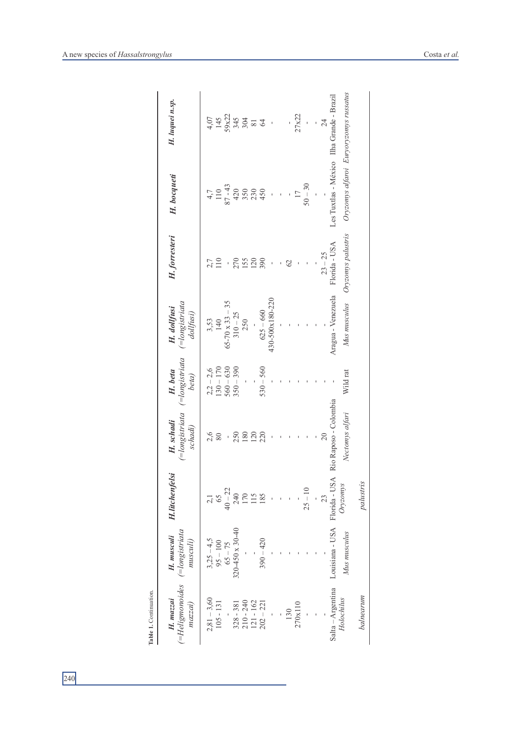| Table 1. Continuation.                     |                                                |                       |                                        |                                    |                                               |                    |                                                       |                                                                      |
|--------------------------------------------|------------------------------------------------|-----------------------|----------------------------------------|------------------------------------|-----------------------------------------------|--------------------|-------------------------------------------------------|----------------------------------------------------------------------|
| (=Heligmonoides<br>$H.$ $maxzai$<br>maxzai | $( = long is triata$<br>H. musculi<br>musculi) | <b>H.litchenfelsi</b> | (=longistriata<br>H. schadi<br>schadi) | (=longistriata<br>H. beta<br>beta) | $($ =longistriata<br>H. dollfusi<br>dollfusi) | H. forresteri      | H. bocqueti                                           | H. luquei n.sp.                                                      |
| $2,81 - 3,60$                              |                                                |                       | 2,6                                    |                                    |                                               |                    |                                                       |                                                                      |
| $105 - 131$                                | $3,25-4,5$<br>95 - 100                         |                       | 80                                     | $2,2-2,6$<br>130 – 170             | $3,53$<br>140                                 | 110                |                                                       |                                                                      |
|                                            | $65 - 75$                                      | $40 - 22$             |                                        | $560 - 630$                        | $65 - 70 \times 33 - 35$                      |                    |                                                       |                                                                      |
| $328 - 381$                                | 320-450 x 30-40                                | 240                   | 250                                    | $350 - 390$                        | $310 - 25$                                    | 270                | $4,7$<br>110<br>87 - 43<br>87 43<br>450<br>450<br>450 | $4.5$<br>$4.5$<br>$7.2$<br>$7.2$<br>$7.3$<br>$8.3$<br>$8.5$<br>$8.5$ |
| $210 - 240$                                |                                                |                       | 180                                    |                                    | 250                                           | <b>155</b>         |                                                       |                                                                      |
| $121 - 162$                                |                                                | 170                   | 120                                    |                                    |                                               | 120                |                                                       |                                                                      |
| $202 - 221$                                | $390 - 420$                                    | 185                   | 220                                    | $530 - 560$                        | $625 - 660$                                   | 390                |                                                       |                                                                      |
|                                            |                                                |                       |                                        |                                    | 430-500x180-220                               |                    |                                                       | $\bar{1}$                                                            |
|                                            |                                                |                       |                                        |                                    |                                               |                    |                                                       |                                                                      |
| 130                                        |                                                |                       |                                        |                                    |                                               | $\mathcal{O}$      |                                                       |                                                                      |
| 270x110                                    |                                                |                       |                                        |                                    |                                               |                    | $\overline{11}$                                       | 27x22                                                                |
|                                            |                                                | $25 - 10$             |                                        |                                    |                                               |                    | $50 - 30$                                             |                                                                      |
|                                            |                                                |                       |                                        |                                    |                                               |                    |                                                       |                                                                      |
|                                            |                                                | $\mathfrak{Z}$        | 20                                     |                                    |                                               | $23 - 25$          |                                                       | 24                                                                   |
| Salta - Argentina                          | Louisiana - USA Florida - USA                  |                       | Rio Raposo - Colombia                  |                                    | Aragua - Venezuela                            | Florida - USA      | Les Tuxtlas - México Ilha Grande - Brazil             |                                                                      |
| Holochilus                                 | Mus musculus                                   | Oryzomys              | Nectomys alfari                        | Wild rat                           | Mus musculus                                  | Oryzomys palustris | Oryzomys alfaroi Euryoryzomys russatus                |                                                                      |
| balnearum                                  |                                                | palustris             |                                        |                                    |                                               |                    |                                                       |                                                                      |
|                                            |                                                |                       |                                        |                                    |                                               |                    |                                                       |                                                                      |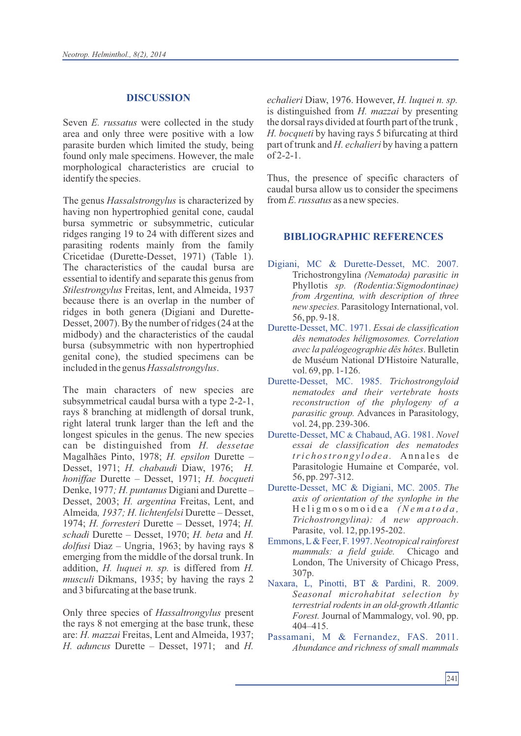#### **DISCUSSION**

Seven *E. russatus* were collected in the study area and only three were positive with a low parasite burden which limited the study, being found only male specimens. However, the male morphological characteristics are crucial to identify the species.

The genus *Hassalstrongylus* is characterized by having non hypertrophied genital cone, caudal bursa symmetric or subsymmetric, cuticular ridges ranging 19 to 24 with different sizes and parasiting rodents mainly from the family Cricetidae (Durette-Desset, 1971) (Table 1). The characteristics of the caudal bursa are essential to identify and separate this genus from *Stilestrongylus* Freitas, lent, and Almeida, 1937 because there is an overlap in the number of ridges in both genera (Digiani and Durette-Desset, 2007). By the number of ridges (24 at the midbody) and the characteristics of the caudal bursa (subsymmetric with non hypertrophied genital cone), the studied specimens can be included in the genus *Hassalstrongylus*.

The main characters of new species are subsymmetrical caudal bursa with a type 2-2-1, rays 8 branching at midlength of dorsal trunk, right lateral trunk larger than the left and the longest spicules in the genus. The new species can be distinguished from *H. dessetae* Magalhães Pinto, 1978; *H. epsilon* Durette – Desset, 1971; *H. chabaudi* Diaw, 1976; *H. honiffae* Durette – Desset, 1971; *H. bocqueti*  Denke, 1977*; H. puntanus* Digiani and Durette – Desset, 2003; *H. argentina* Freitas, Lent, and Almeida*, 1937; H. lichtenfelsi* Durette – Desset, 1974; *H. forresteri* Durette – Desset, 1974; *H. schadi* Durette – Desset, 1970; *H. beta* and *H. dolfusi* Diaz – Ungria, 1963; by having rays 8 emerging from the middle of the dorsal trunk. In addition, *H. luquei n. sp.* is differed from *H. musculi* Dikmans, 1935; by having the rays 2 and 3 bifurcating at the base trunk.

Only three species of *Hassaltrongylus* present the rays 8 not emerging at the base trunk, these are: *H. mazzai* Freitas, Lent and Almeida, 1937; *H. aduncus* Durette – Desset, 1971; and *H.*  *echalieri* Diaw, 1976. However, *H. luquei n. sp.* is distinguished from *H. mazzai* by presenting the dorsal rays divided at fourth part of the trunk , *H. bocqueti* by having rays 5 bifurcating at third part of trunk and *H. echalieri* by having a pattern of 2-2-1.

Thus, the presence of specific characters of caudal bursa allow us to consider the specimens from *E. russatus* as a new species.

#### **BIBLIOGRAPHIC REFERENCES**

- Digiani, MC & Durette-Desset, MC. 2007. Trichostrongylina *(Nematoda) parasitic in* Phyllotis *sp. (Rodentia:Sigmodontinae) from Argentina, with description of three new species.* Parasitology International, vol. 56, pp. 9-18.
- Durette-Desset, MC. 1971. *Essai de classification dês nematodes héligmosomes. Correlation avec la paléogeographie dês hôtes*. Bulletin de Muséum National D'Histoire Naturalle, vol. 69, pp. 1-126.
- Durette-Desset, MC. 1985. *Trichostrongyloid nematodes and their vertebrate hosts reconstruction of the phylogeny of a parasitic group.* Advances in Parasitology, vol. 24, pp. 239-306.
- Durette-Desset, MC & Chabaud, AG. 1981. *Novel essai de classification des nematodes tri c h o stro n g y l o d e a .* An n a l e s d e Parasitologie Humaine et Comparée, vol. 56, pp. 297-312.
- Durette-Desset, MC & Digiani, MC. 2005. *The axis of orientation of the synlophe in the* H e l i g m o s o m o i d e a *( N e m a t o d a , Trichostrongylina): A new approach*. Parasite, vol. 12, pp.195-202.
- Emmons, L& Feer, F. 1997. *Neotropical rainforest mammals: a field guide.* Chicago and London, The University of Chicago Press, 307p.
- Naxara, L, Pinotti, BT & Pardini, R. 2009. *Seasonal microhabitat selection by terrestrial rodents in an old-growth Atlantic Forest.* Journal of Mammalogy, vol. 90, pp. 404–415.
- Passamani, M & Fernandez, FAS. 2011. *Abundance and richness of small mammals*